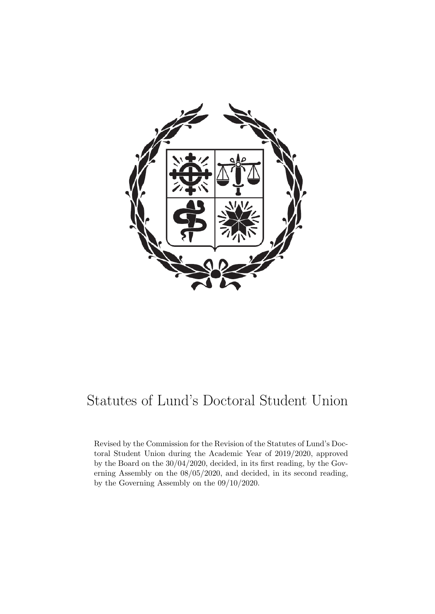

# Statutes of Lund's Doctoral Student Union

Revised by the Commission for the Revision of the Statutes of Lund's Doctoral Student Union during the Academic Year of 2019/2020, approved by the Board on the 30/04/2020, decided, in its first reading, by the Governing Assembly on the 08/05/2020, and decided, in its second reading, by the Governing Assembly on the 09/10/2020.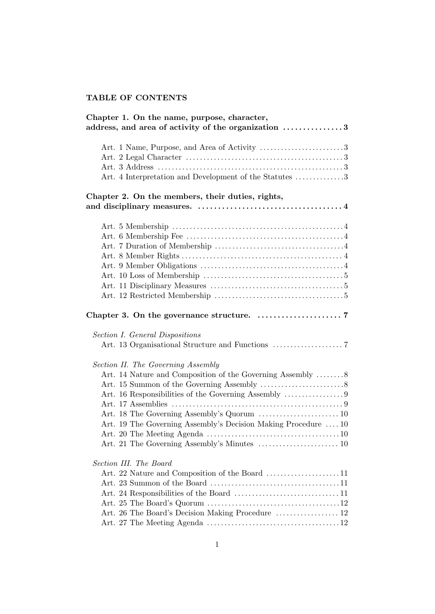# TABLE OF CONTENTS

| Chapter 1. On the name, purpose, character,<br>address, and area of activity of the organization 3                                                                 |
|--------------------------------------------------------------------------------------------------------------------------------------------------------------------|
| Art. 1 Name, Purpose, and Area of Activity 3<br>Art. 4 Interpretation and Development of the Statutes 3                                                            |
| Chapter 2. On the members, their duties, rights,                                                                                                                   |
|                                                                                                                                                                    |
| Section I. General Dispositions                                                                                                                                    |
| Section II. The Governing Assembly<br>Art. 14 Nature and Composition of the Governing Assembly 8<br>Art. 19 The Governing Assembly's Decision Making Procedure  10 |
| Section III. The Board<br>Art. 26 The Board's Decision Making Procedure  12                                                                                        |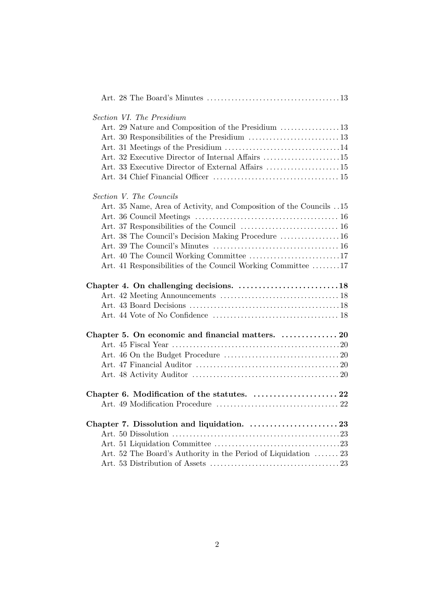| <i>Section VI. The Presidium</i>                                  |  |
|-------------------------------------------------------------------|--|
| Art. 29 Nature and Composition of the Presidium 13                |  |
|                                                                   |  |
|                                                                   |  |
| Art. 32 Executive Director of Internal Affairs 15                 |  |
| Art. 33 Executive Director of External Affairs  15                |  |
|                                                                   |  |
| Section V. The Councils                                           |  |
| Art. 35 Name, Area of Activity, and Composition of the Councils15 |  |
|                                                                   |  |
|                                                                   |  |
| Art. 38 The Council's Decision Making Procedure  16               |  |
|                                                                   |  |
|                                                                   |  |
| Art. 41 Responsibilities of the Council Working Committee 17      |  |
| Chapter 4. On challenging decisions. 18                           |  |
|                                                                   |  |
|                                                                   |  |
|                                                                   |  |
| Chapter 5. On economic and financial matters.  20                 |  |
|                                                                   |  |
|                                                                   |  |
|                                                                   |  |
|                                                                   |  |
| Chapter 6. Modification of the statutes.  22                      |  |
|                                                                   |  |
|                                                                   |  |
|                                                                   |  |
|                                                                   |  |
| Art. 52 The Board's Authority in the Period of Liquidation  23    |  |
|                                                                   |  |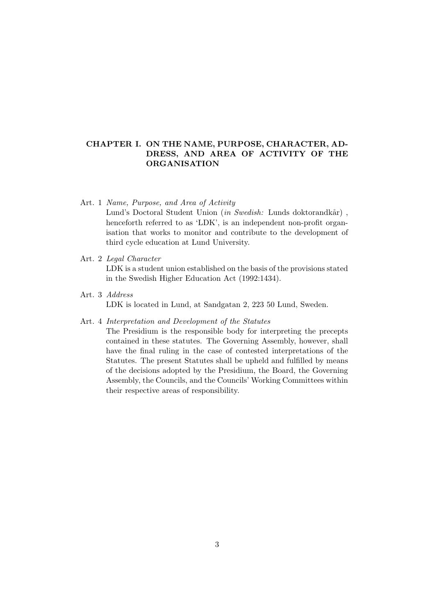# CHAPTER I. ON THE NAME, PURPOSE, CHARACTER, AD-DRESS, AND AREA OF ACTIVITY OF THE ORGANISATION

# Art. 1 Name, Purpose, and Area of Activity

Lund's Doctoral Student Union (in Swedish: Lunds doktorandkår), henceforth referred to as 'LDK', is an independent non-profit organisation that works to monitor and contribute to the development of third cycle education at Lund University.

# Art. 2 Legal Character

LDK is a student union established on the basis of the provisions stated in the Swedish Higher Education Act (1992:1434).

Art. 3 Address LDK is located in Lund, at Sandgatan 2, 223 50 Lund, Sweden.

#### Art. 4 Interpretation and Development of the Statutes

The Presidium is the responsible body for interpreting the precepts contained in these statutes. The Governing Assembly, however, shall have the final ruling in the case of contested interpretations of the Statutes. The present Statutes shall be upheld and fulfilled by means of the decisions adopted by the Presidium, the Board, the Governing Assembly, the Councils, and the Councils' Working Committees within their respective areas of responsibility.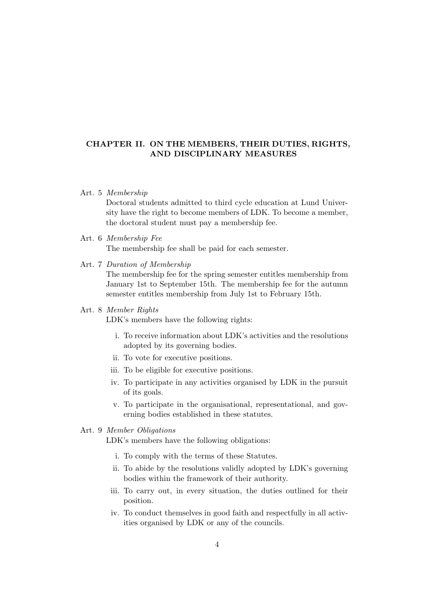# CHAPTER II. ON THE MEMBERS, THEIR DUTIES, RIGHTS, AND DISCIPLINARY MEASURES

#### Art. 5 Membership

Doctoral students admitted to third cycle education at Lund University have the right to become members of LDK. To become a member, the doctoral student must pay a membership fee.

Art. 6 Membership Fee

The membership fee shall be paid for each semester.

Art. 7 Duration of Membership

The membership fee for the spring semester entitles membership from January 1st to September 15th. The membership fee for the autumn semester entitles membership from July 1st to February 15th.

# Art. 8 Member Rights

LDK's members have the following rights:

- i. To receive information about LDK's activities and the resolutions adopted by its governing bodies.
- ii. To vote for executive positions.
- iii. To be eligible for executive positions.
- iv. To participate in any activities organised by LDK in the pursuit of its goals.
- v. To participate in the organisational, representational, and governing bodies established in these statutes.

# Art. 9 Member Obligations

LDK's members have the following obligations:

- i. To comply with the terms of these Statutes.
- ii. To abide by the resolutions validly adopted by LDK's governing bodies within the framework of their authority.
- iii. To carry out, in every situation, the duties outlined for their position.
- iv. To conduct themselves in good faith and respectfully in all activities organised by LDK or any of the councils.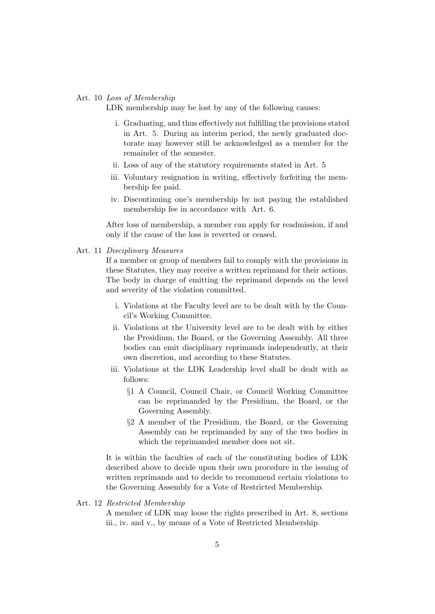#### Art. 10 Loss of Membership

LDK membership may be lost by any of the following causes:

- i. Graduating, and thus effectively not fulfilling the provisions stated in Art. 5. During an interim period, the newly graduated doctorate may however still be acknowledged as a member for the remainder of the semester.
- ii. Loss of any of the statutory requirements stated in Art. 5
- iii. Voluntary resignation in writing, effectively forfeiting the membership fee paid.
- iv. Discontinuing one's membership by not paying the established membership fee in accordance with Art. 6.

After loss of membership, a member can apply for readmission, if and only if the cause of the loss is reverted or ceased.

Art. 11 Disciplinary Measures

If a member or group of members fail to comply with the provisions in these Statutes, they may receive a written reprimand for their actions. The body in charge of emitting the reprimand depends on the level and severity of the violation committed.

- i. Violations at the Faculty level are to be dealt with by the Council's Working Committee.
- ii. Violations at the University level are to be dealt with by either the Presidium, the Board, or the Governing Assembly. All three bodies can emit disciplinary reprimands independently, at their own discretion, and according to these Statutes.
- iii. Violations at the LDK Leadership level shall be dealt with as follows:
	- §1 A Council, Council Chair, or Council Working Committee can be reprimanded by the Presidium, the Board, or the Governing Assembly.
	- §2 A member of the Presidium, the Board, or the Governing Assembly can be reprimanded by any of the two bodies in which the reprimanded member does not sit.

It is within the faculties of each of the constituting bodies of LDK described above to decide upon their own procedure in the issuing of written reprimands and to decide to recommend certain violations to the Governing Assembly for a Vote of Restricted Membership.

#### Art. 12 Restricted Membership

A member of LDK may loose the rights prescribed in Art. 8, sections iii., iv. and v., by means of a Vote of Restricted Membership.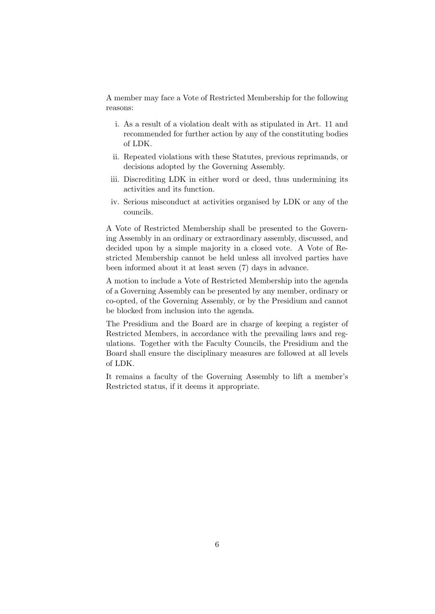A member may face a Vote of Restricted Membership for the following reasons:

- i. As a result of a violation dealt with as stipulated in Art. 11 and recommended for further action by any of the constituting bodies of LDK.
- ii. Repeated violations with these Statutes, previous reprimands, or decisions adopted by the Governing Assembly.
- iii. Discrediting LDK in either word or deed, thus undermining its activities and its function.
- iv. Serious misconduct at activities organised by LDK or any of the councils.

A Vote of Restricted Membership shall be presented to the Governing Assembly in an ordinary or extraordinary assembly, discussed, and decided upon by a simple majority in a closed vote. A Vote of Restricted Membership cannot be held unless all involved parties have been informed about it at least seven (7) days in advance.

A motion to include a Vote of Restricted Membership into the agenda of a Governing Assembly can be presented by any member, ordinary or co-opted, of the Governing Assembly, or by the Presidium and cannot be blocked from inclusion into the agenda.

The Presidium and the Board are in charge of keeping a register of Restricted Members, in accordance with the prevailing laws and regulations. Together with the Faculty Councils, the Presidium and the Board shall ensure the disciplinary measures are followed at all levels of LDK.

It remains a faculty of the Governing Assembly to lift a member's Restricted status, if it deems it appropriate.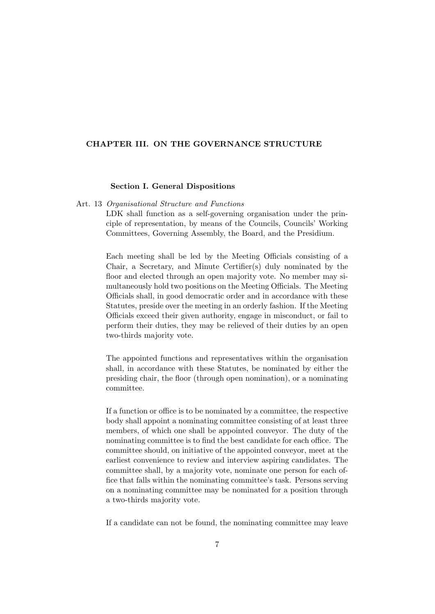#### CHAPTER III. ON THE GOVERNANCE STRUCTURE

#### Section I. General Dispositions

Art. 13 Organisational Structure and Functions

LDK shall function as a self-governing organisation under the principle of representation, by means of the Councils, Councils' Working Committees, Governing Assembly, the Board, and the Presidium.

Each meeting shall be led by the Meeting Officials consisting of a Chair, a Secretary, and Minute Certifier(s) duly nominated by the floor and elected through an open majority vote. No member may simultaneously hold two positions on the Meeting Officials. The Meeting Officials shall, in good democratic order and in accordance with these Statutes, preside over the meeting in an orderly fashion. If the Meeting Officials exceed their given authority, engage in misconduct, or fail to perform their duties, they may be relieved of their duties by an open two-thirds majority vote.

The appointed functions and representatives within the organisation shall, in accordance with these Statutes, be nominated by either the presiding chair, the floor (through open nomination), or a nominating committee.

If a function or office is to be nominated by a committee, the respective body shall appoint a nominating committee consisting of at least three members, of which one shall be appointed conveyor. The duty of the nominating committee is to find the best candidate for each office. The committee should, on initiative of the appointed conveyor, meet at the earliest convenience to review and interview aspiring candidates. The committee shall, by a majority vote, nominate one person for each office that falls within the nominating committee's task. Persons serving on a nominating committee may be nominated for a position through a two-thirds majority vote.

If a candidate can not be found, the nominating committee may leave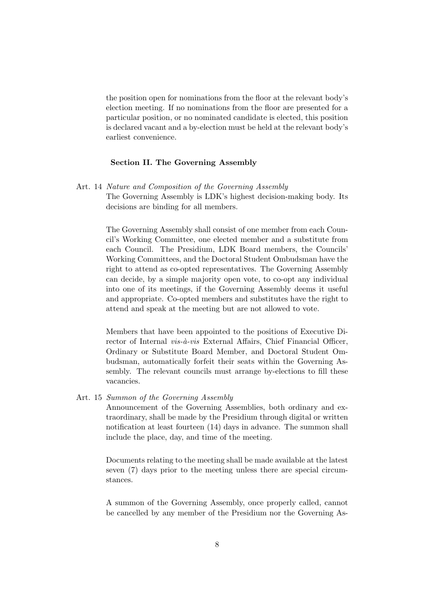the position open for nominations from the floor at the relevant body's election meeting. If no nominations from the floor are presented for a particular position, or no nominated candidate is elected, this position is declared vacant and a by-election must be held at the relevant body's earliest convenience.

# Section II. The Governing Assembly

Art. 14 Nature and Composition of the Governing Assembly

The Governing Assembly is LDK's highest decision-making body. Its decisions are binding for all members.

The Governing Assembly shall consist of one member from each Council's Working Committee, one elected member and a substitute from each Council. The Presidium, LDK Board members, the Councils' Working Committees, and the Doctoral Student Ombudsman have the right to attend as co-opted representatives. The Governing Assembly can decide, by a simple majority open vote, to co-opt any individual into one of its meetings, if the Governing Assembly deems it useful and appropriate. Co-opted members and substitutes have the right to attend and speak at the meeting but are not allowed to vote.

Members that have been appointed to the positions of Executive Director of Internal *vis-à-vis* External Affairs, Chief Financial Officer, Ordinary or Substitute Board Member, and Doctoral Student Ombudsman, automatically forfeit their seats within the Governing Assembly. The relevant councils must arrange by-elections to fill these vacancies.

Art. 15 Summon of the Governing Assembly

Announcement of the Governing Assemblies, both ordinary and extraordinary, shall be made by the Presidium through digital or written notification at least fourteen (14) days in advance. The summon shall include the place, day, and time of the meeting.

Documents relating to the meeting shall be made available at the latest seven (7) days prior to the meeting unless there are special circumstances.

A summon of the Governing Assembly, once properly called, cannot be cancelled by any member of the Presidium nor the Governing As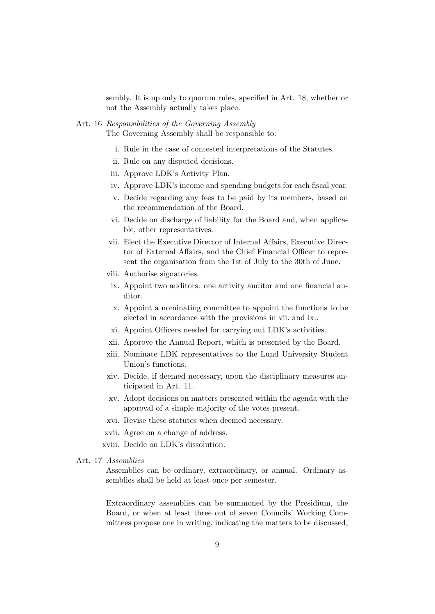sembly. It is up only to quorum rules, specified in Art. 18, whether or not the Assembly actually takes place.

# Art. 16 Responsibilities of the Governing Assembly

The Governing Assembly shall be responsible to:

- i. Rule in the case of contested interpretations of the Statutes.
- ii. Rule on any disputed decisions.
- iii. Approve LDK's Activity Plan.
- iv. Approve LDK's income and spending budgets for each fiscal year.
- v. Decide regarding any fees to be paid by its members, based on the recommendation of the Board.
- vi. Decide on discharge of liability for the Board and, when applicable, other representatives.
- vii. Elect the Executive Director of Internal Affairs, Executive Director of External Affairs, and the Chief Financial Officer to represent the organisation from the 1st of July to the 30th of June.
- viii. Authorise signatories.
	- ix. Appoint two auditors: one activity auditor and one financial auditor.
	- x. Appoint a nominating committee to appoint the functions to be elected in accordance with the provisions in vii. and ix..
- xi. Appoint Officers needed for carrying out LDK's activities.
- xii. Approve the Annual Report, which is presented by the Board.
- xiii. Nominate LDK representatives to the Lund University Student Union's functions.
- xiv. Decide, if deemed necessary, upon the disciplinary measures anticipated in Art. 11.
- xv. Adopt decisions on matters presented within the agenda with the approval of a simple majority of the votes present.
- xvi. Revise these statutes when deemed necessary.
- xvii. Agree on a change of address.
- xviii. Decide on LDK's dissolution.

# Art. 17 Assemblies

Assemblies can be ordinary, extraordinary, or annual. Ordinary assemblies shall be held at least once per semester.

Extraordinary assemblies can be summoned by the Presidium, the Board, or when at least three out of seven Councils' Working Committees propose one in writing, indicating the matters to be discussed,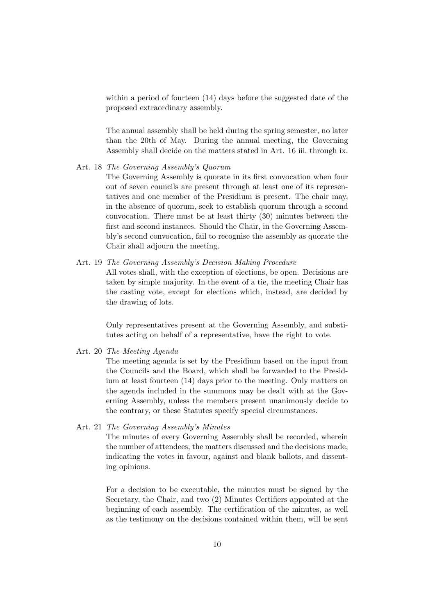within a period of fourteen (14) days before the suggested date of the proposed extraordinary assembly.

The annual assembly shall be held during the spring semester, no later than the 20th of May. During the annual meeting, the Governing Assembly shall decide on the matters stated in Art. 16 iii. through ix.

#### Art. 18 The Governing Assembly's Quorum

The Governing Assembly is quorate in its first convocation when four out of seven councils are present through at least one of its representatives and one member of the Presidium is present. The chair may, in the absence of quorum, seek to establish quorum through a second convocation. There must be at least thirty (30) minutes between the first and second instances. Should the Chair, in the Governing Assembly's second convocation, fail to recognise the assembly as quorate the Chair shall adjourn the meeting.

# Art. 19 The Governing Assembly's Decision Making Procedure

All votes shall, with the exception of elections, be open. Decisions are taken by simple majority. In the event of a tie, the meeting Chair has the casting vote, except for elections which, instead, are decided by the drawing of lots.

Only representatives present at the Governing Assembly, and substitutes acting on behalf of a representative, have the right to vote.

Art. 20 The Meeting Agenda

The meeting agenda is set by the Presidium based on the input from the Councils and the Board, which shall be forwarded to the Presidium at least fourteen (14) days prior to the meeting. Only matters on the agenda included in the summons may be dealt with at the Governing Assembly, unless the members present unanimously decide to the contrary, or these Statutes specify special circumstances.

Art. 21 The Governing Assembly's Minutes

The minutes of every Governing Assembly shall be recorded, wherein the number of attendees, the matters discussed and the decisions made, indicating the votes in favour, against and blank ballots, and dissenting opinions.

For a decision to be executable, the minutes must be signed by the Secretary, the Chair, and two (2) Minutes Certifiers appointed at the beginning of each assembly. The certification of the minutes, as well as the testimony on the decisions contained within them, will be sent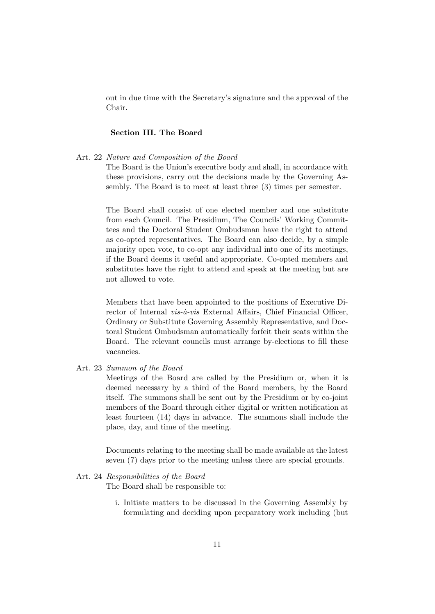out in due time with the Secretary's signature and the approval of the Chair.

#### Section III. The Board

Art. 22 Nature and Composition of the Board

The Board is the Union's executive body and shall, in accordance with these provisions, carry out the decisions made by the Governing Assembly. The Board is to meet at least three (3) times per semester.

The Board shall consist of one elected member and one substitute from each Council. The Presidium, The Councils' Working Committees and the Doctoral Student Ombudsman have the right to attend as co-opted representatives. The Board can also decide, by a simple majority open vote, to co-opt any individual into one of its meetings, if the Board deems it useful and appropriate. Co-opted members and substitutes have the right to attend and speak at the meeting but are not allowed to vote.

Members that have been appointed to the positions of Executive Director of Internal  $vis-\hat{a}-vis$  External Affairs, Chief Financial Officer, Ordinary or Substitute Governing Assembly Representative, and Doctoral Student Ombudsman automatically forfeit their seats within the Board. The relevant councils must arrange by-elections to fill these vacancies.

Art. 23 Summon of the Board

Meetings of the Board are called by the Presidium or, when it is deemed necessary by a third of the Board members, by the Board itself. The summons shall be sent out by the Presidium or by co-joint members of the Board through either digital or written notification at least fourteen (14) days in advance. The summons shall include the place, day, and time of the meeting.

Documents relating to the meeting shall be made available at the latest seven (7) days prior to the meeting unless there are special grounds.

#### Art. 24 Responsibilities of the Board

The Board shall be responsible to:

i. Initiate matters to be discussed in the Governing Assembly by formulating and deciding upon preparatory work including (but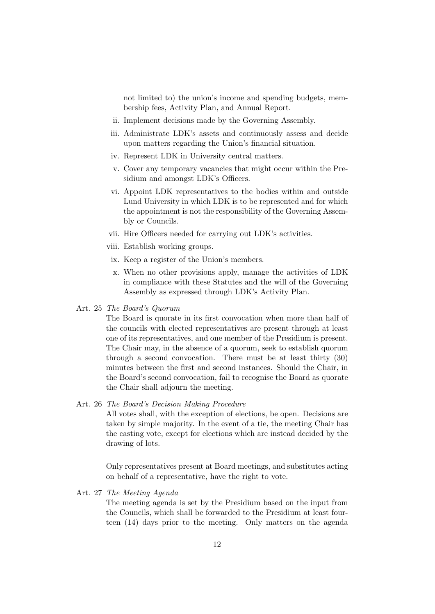not limited to) the union's income and spending budgets, membership fees, Activity Plan, and Annual Report.

- ii. Implement decisions made by the Governing Assembly.
- iii. Administrate LDK's assets and continuously assess and decide upon matters regarding the Union's financial situation.
- iv. Represent LDK in University central matters.
- v. Cover any temporary vacancies that might occur within the Presidium and amongst LDK's Officers.
- vi. Appoint LDK representatives to the bodies within and outside Lund University in which LDK is to be represented and for which the appointment is not the responsibility of the Governing Assembly or Councils.
- vii. Hire Officers needed for carrying out LDK's activities.
- viii. Establish working groups.
- ix. Keep a register of the Union's members.
- x. When no other provisions apply, manage the activities of LDK in compliance with these Statutes and the will of the Governing Assembly as expressed through LDK's Activity Plan.

Art. 25 The Board's Quorum

The Board is quorate in its first convocation when more than half of the councils with elected representatives are present through at least one of its representatives, and one member of the Presidium is present. The Chair may, in the absence of a quorum, seek to establish quorum through a second convocation. There must be at least thirty (30) minutes between the first and second instances. Should the Chair, in the Board's second convocation, fail to recognise the Board as quorate the Chair shall adjourn the meeting.

# Art. 26 The Board's Decision Making Procedure

All votes shall, with the exception of elections, be open. Decisions are taken by simple majority. In the event of a tie, the meeting Chair has the casting vote, except for elections which are instead decided by the drawing of lots.

Only representatives present at Board meetings, and substitutes acting on behalf of a representative, have the right to vote.

Art. 27 The Meeting Agenda

The meeting agenda is set by the Presidium based on the input from the Councils, which shall be forwarded to the Presidium at least fourteen (14) days prior to the meeting. Only matters on the agenda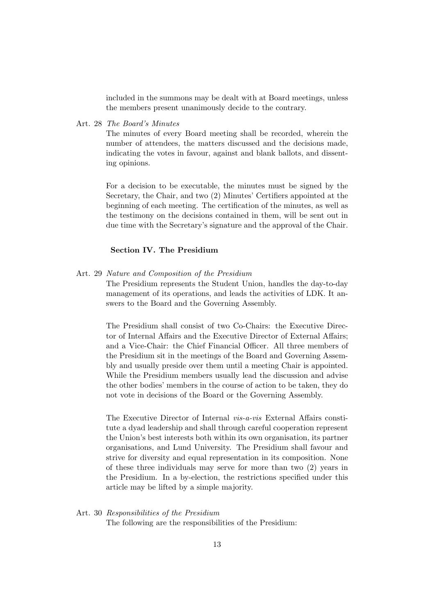included in the summons may be dealt with at Board meetings, unless the members present unanimously decide to the contrary.

Art. 28 The Board's Minutes

The minutes of every Board meeting shall be recorded, wherein the number of attendees, the matters discussed and the decisions made, indicating the votes in favour, against and blank ballots, and dissenting opinions.

For a decision to be executable, the minutes must be signed by the Secretary, the Chair, and two (2) Minutes' Certifiers appointed at the beginning of each meeting. The certification of the minutes, as well as the testimony on the decisions contained in them, will be sent out in due time with the Secretary's signature and the approval of the Chair.

#### Section IV. The Presidium

Art. 29 Nature and Composition of the Presidium

The Presidium represents the Student Union, handles the day-to-day management of its operations, and leads the activities of LDK. It answers to the Board and the Governing Assembly.

The Presidium shall consist of two Co-Chairs: the Executive Director of Internal Affairs and the Executive Director of External Affairs; and a Vice-Chair: the Chief Financial Officer. All three members of the Presidium sit in the meetings of the Board and Governing Assembly and usually preside over them until a meeting Chair is appointed. While the Presidium members usually lead the discussion and advise the other bodies' members in the course of action to be taken, they do not vote in decisions of the Board or the Governing Assembly.

The Executive Director of Internal vis-a-vis External Affairs constitute a dyad leadership and shall through careful cooperation represent the Union's best interests both within its own organisation, its partner organisations, and Lund University. The Presidium shall favour and strive for diversity and equal representation in its composition. None of these three individuals may serve for more than two (2) years in the Presidium. In a by-election, the restrictions specified under this article may be lifted by a simple majority.

#### Art. 30 Responsibilities of the Presidium

The following are the responsibilities of the Presidium: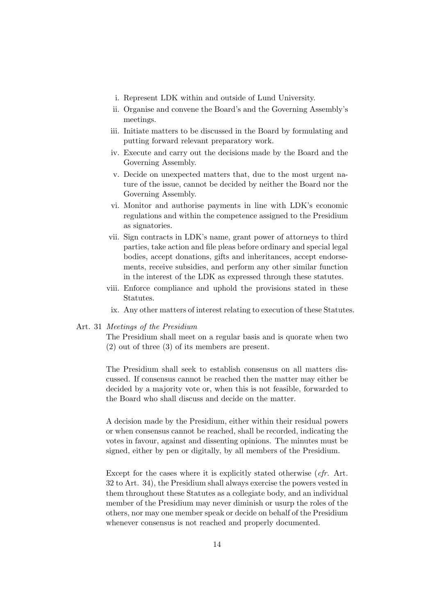- i. Represent LDK within and outside of Lund University.
- ii. Organise and convene the Board's and the Governing Assembly's meetings.
- iii. Initiate matters to be discussed in the Board by formulating and putting forward relevant preparatory work.
- iv. Execute and carry out the decisions made by the Board and the Governing Assembly.
- v. Decide on unexpected matters that, due to the most urgent nature of the issue, cannot be decided by neither the Board nor the Governing Assembly.
- vi. Monitor and authorise payments in line with LDK's economic regulations and within the competence assigned to the Presidium as signatories.
- vii. Sign contracts in LDK's name, grant power of attorneys to third parties, take action and file pleas before ordinary and special legal bodies, accept donations, gifts and inheritances, accept endorsements, receive subsidies, and perform any other similar function in the interest of the LDK as expressed through these statutes.
- viii. Enforce compliance and uphold the provisions stated in these Statutes.
- ix. Any other matters of interest relating to execution of these Statutes.

#### Art. 31 Meetings of the Presidium

The Presidium shall meet on a regular basis and is quorate when two (2) out of three (3) of its members are present.

The Presidium shall seek to establish consensus on all matters discussed. If consensus cannot be reached then the matter may either be decided by a majority vote or, when this is not feasible, forwarded to the Board who shall discuss and decide on the matter.

A decision made by the Presidium, either within their residual powers or when consensus cannot be reached, shall be recorded, indicating the votes in favour, against and dissenting opinions. The minutes must be signed, either by pen or digitally, by all members of the Presidium.

Except for the cases where it is explicitly stated otherwise (cfr. Art. 32 to Art. 34), the Presidium shall always exercise the powers vested in them throughout these Statutes as a collegiate body, and an individual member of the Presidium may never diminish or usurp the roles of the others, nor may one member speak or decide on behalf of the Presidium whenever consensus is not reached and properly documented.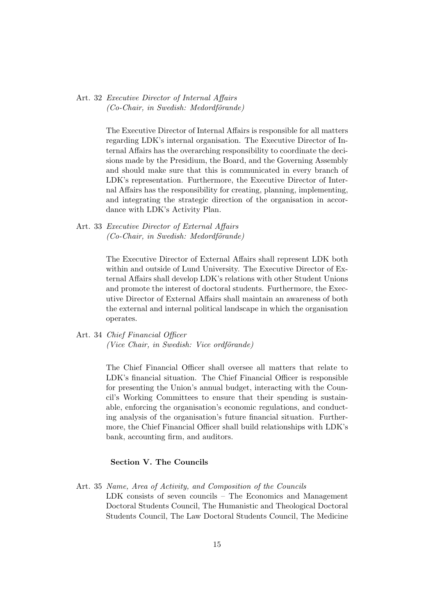Art. 32 Executive Director of Internal Affairs  $(Co-Chair, in Swedish: Medordförande)$ 

> The Executive Director of Internal Affairs is responsible for all matters regarding LDK's internal organisation. The Executive Director of Internal Affairs has the overarching responsibility to coordinate the decisions made by the Presidium, the Board, and the Governing Assembly and should make sure that this is communicated in every branch of LDK's representation. Furthermore, the Executive Director of Internal Affairs has the responsibility for creating, planning, implementing, and integrating the strategic direction of the organisation in accordance with LDK's Activity Plan.

Art. 33 Executive Director of External Affairs  $(Co-Chair, in Swedish: Medordförande)$ 

> The Executive Director of External Affairs shall represent LDK both within and outside of Lund University. The Executive Director of External Affairs shall develop LDK's relations with other Student Unions and promote the interest of doctoral students. Furthermore, the Executive Director of External Affairs shall maintain an awareness of both the external and internal political landscape in which the organisation operates.

Art. 34 Chief Financial Officer  $(Vice Chair, in Swedish: Vice ordförande)$ 

> The Chief Financial Officer shall oversee all matters that relate to LDK's financial situation. The Chief Financial Officer is responsible for presenting the Union's annual budget, interacting with the Council's Working Committees to ensure that their spending is sustainable, enforcing the organisation's economic regulations, and conducting analysis of the organisation's future financial situation. Furthermore, the Chief Financial Officer shall build relationships with LDK's bank, accounting firm, and auditors.

# Section V. The Councils

Art. 35 Name, Area of Activity, and Composition of the Councils LDK consists of seven councils – The Economics and Management Doctoral Students Council, The Humanistic and Theological Doctoral Students Council, The Law Doctoral Students Council, The Medicine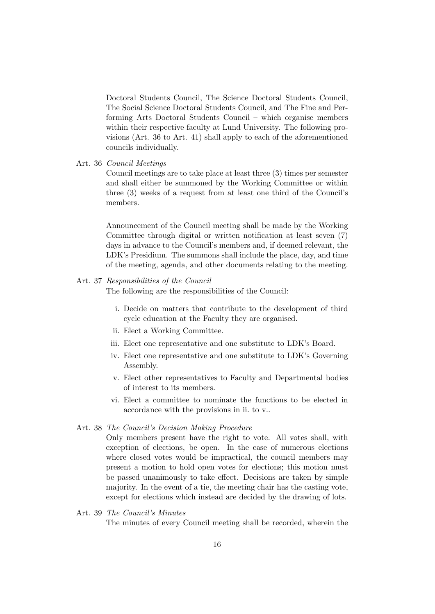Doctoral Students Council, The Science Doctoral Students Council, The Social Science Doctoral Students Council, and The Fine and Performing Arts Doctoral Students Council – which organise members within their respective faculty at Lund University. The following provisions (Art. 36 to Art. 41) shall apply to each of the aforementioned councils individually.

Art. 36 Council Meetings

Council meetings are to take place at least three (3) times per semester and shall either be summoned by the Working Committee or within three (3) weeks of a request from at least one third of the Council's members.

Announcement of the Council meeting shall be made by the Working Committee through digital or written notification at least seven (7) days in advance to the Council's members and, if deemed relevant, the LDK's Presidium. The summons shall include the place, day, and time of the meeting, agenda, and other documents relating to the meeting.

#### Art. 37 Responsibilities of the Council

The following are the responsibilities of the Council:

- i. Decide on matters that contribute to the development of third cycle education at the Faculty they are organised.
- ii. Elect a Working Committee.
- iii. Elect one representative and one substitute to LDK's Board.
- iv. Elect one representative and one substitute to LDK's Governing Assembly.
- v. Elect other representatives to Faculty and Departmental bodies of interest to its members.
- vi. Elect a committee to nominate the functions to be elected in accordance with the provisions in ii. to v..

#### Art. 38 The Council's Decision Making Procedure

Only members present have the right to vote. All votes shall, with exception of elections, be open. In the case of numerous elections where closed votes would be impractical, the council members may present a motion to hold open votes for elections; this motion must be passed unanimously to take effect. Decisions are taken by simple majority. In the event of a tie, the meeting chair has the casting vote, except for elections which instead are decided by the drawing of lots.

# Art. 39 The Council's Minutes The minutes of every Council meeting shall be recorded, wherein the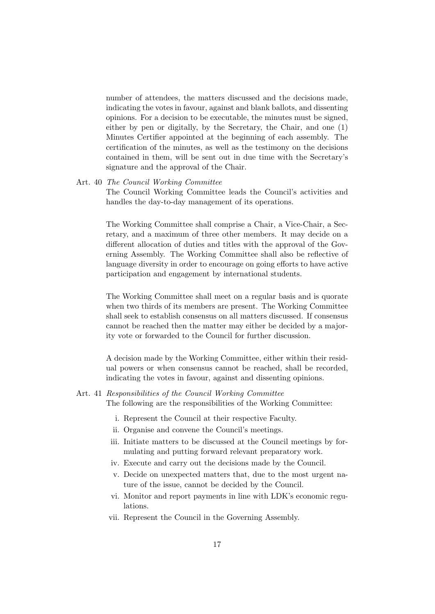number of attendees, the matters discussed and the decisions made, indicating the votes in favour, against and blank ballots, and dissenting opinions. For a decision to be executable, the minutes must be signed, either by pen or digitally, by the Secretary, the Chair, and one (1) Minutes Certifier appointed at the beginning of each assembly. The certification of the minutes, as well as the testimony on the decisions contained in them, will be sent out in due time with the Secretary's signature and the approval of the Chair.

#### Art. 40 The Council Working Committee

The Council Working Committee leads the Council's activities and handles the day-to-day management of its operations.

The Working Committee shall comprise a Chair, a Vice-Chair, a Secretary, and a maximum of three other members. It may decide on a different allocation of duties and titles with the approval of the Governing Assembly. The Working Committee shall also be reflective of language diversity in order to encourage on going efforts to have active participation and engagement by international students.

The Working Committee shall meet on a regular basis and is quorate when two thirds of its members are present. The Working Committee shall seek to establish consensus on all matters discussed. If consensus cannot be reached then the matter may either be decided by a majority vote or forwarded to the Council for further discussion.

A decision made by the Working Committee, either within their residual powers or when consensus cannot be reached, shall be recorded, indicating the votes in favour, against and dissenting opinions.

# Art. 41 Responsibilities of the Council Working Committee

The following are the responsibilities of the Working Committee:

- i. Represent the Council at their respective Faculty.
- ii. Organise and convene the Council's meetings.
- iii. Initiate matters to be discussed at the Council meetings by formulating and putting forward relevant preparatory work.
- iv. Execute and carry out the decisions made by the Council.
- v. Decide on unexpected matters that, due to the most urgent nature of the issue, cannot be decided by the Council.
- vi. Monitor and report payments in line with LDK's economic regulations.
- vii. Represent the Council in the Governing Assembly.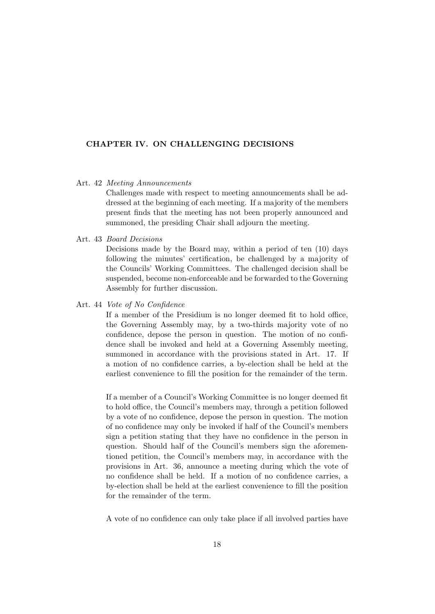# CHAPTER IV. ON CHALLENGING DECISIONS

#### Art. 42 Meeting Announcements

Challenges made with respect to meeting announcements shall be addressed at the beginning of each meeting. If a majority of the members present finds that the meeting has not been properly announced and summoned, the presiding Chair shall adjourn the meeting.

#### Art. 43 Board Decisions

Decisions made by the Board may, within a period of ten (10) days following the minutes' certification, be challenged by a majority of the Councils' Working Committees. The challenged decision shall be suspended, become non-enforceable and be forwarded to the Governing Assembly for further discussion.

#### Art. 44 Vote of No Confidence

If a member of the Presidium is no longer deemed fit to hold office, the Governing Assembly may, by a two-thirds majority vote of no confidence, depose the person in question. The motion of no confidence shall be invoked and held at a Governing Assembly meeting, summoned in accordance with the provisions stated in Art. 17. If a motion of no confidence carries, a by-election shall be held at the earliest convenience to fill the position for the remainder of the term.

If a member of a Council's Working Committee is no longer deemed fit to hold office, the Council's members may, through a petition followed by a vote of no confidence, depose the person in question. The motion of no confidence may only be invoked if half of the Council's members sign a petition stating that they have no confidence in the person in question. Should half of the Council's members sign the aforementioned petition, the Council's members may, in accordance with the provisions in Art. 36, announce a meeting during which the vote of no confidence shall be held. If a motion of no confidence carries, a by-election shall be held at the earliest convenience to fill the position for the remainder of the term.

A vote of no confidence can only take place if all involved parties have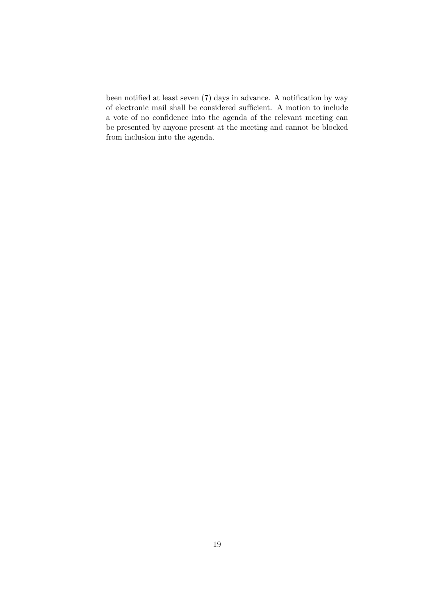been notified at least seven (7) days in advance. A notification by way of electronic mail shall be considered sufficient. A motion to include a vote of no confidence into the agenda of the relevant meeting can be presented by anyone present at the meeting and cannot be blocked from inclusion into the agenda.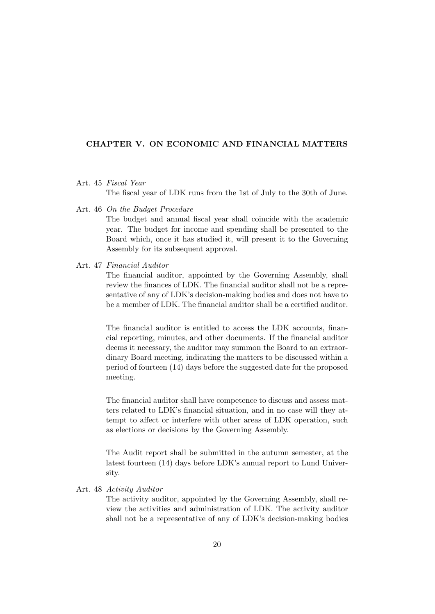# CHAPTER V. ON ECONOMIC AND FINANCIAL MATTERS

#### Art. 45 Fiscal Year

The fiscal year of LDK runs from the 1st of July to the 30th of June.

Art. 46 On the Budget Procedure

The budget and annual fiscal year shall coincide with the academic year. The budget for income and spending shall be presented to the Board which, once it has studied it, will present it to the Governing Assembly for its subsequent approval.

# Art. 47 Financial Auditor

The financial auditor, appointed by the Governing Assembly, shall review the finances of LDK. The financial auditor shall not be a representative of any of LDK's decision-making bodies and does not have to be a member of LDK. The financial auditor shall be a certified auditor.

The financial auditor is entitled to access the LDK accounts, financial reporting, minutes, and other documents. If the financial auditor deems it necessary, the auditor may summon the Board to an extraordinary Board meeting, indicating the matters to be discussed within a period of fourteen (14) days before the suggested date for the proposed meeting.

The financial auditor shall have competence to discuss and assess matters related to LDK's financial situation, and in no case will they attempt to affect or interfere with other areas of LDK operation, such as elections or decisions by the Governing Assembly.

The Audit report shall be submitted in the autumn semester, at the latest fourteen (14) days before LDK's annual report to Lund University.

#### Art. 48 Activity Auditor

The activity auditor, appointed by the Governing Assembly, shall review the activities and administration of LDK. The activity auditor shall not be a representative of any of LDK's decision-making bodies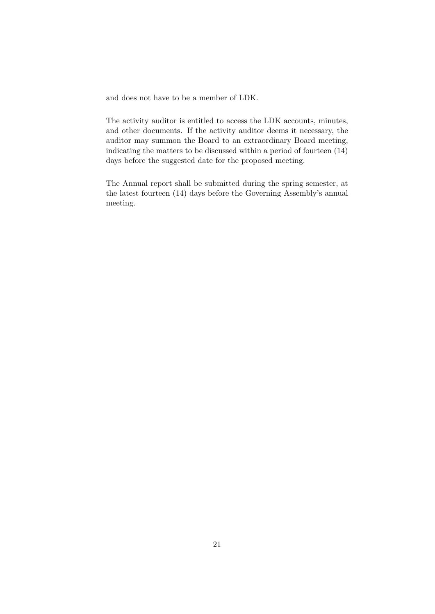and does not have to be a member of LDK.

The activity auditor is entitled to access the LDK accounts, minutes, and other documents. If the activity auditor deems it necessary, the auditor may summon the Board to an extraordinary Board meeting, indicating the matters to be discussed within a period of fourteen (14) days before the suggested date for the proposed meeting.

The Annual report shall be submitted during the spring semester, at the latest fourteen (14) days before the Governing Assembly's annual meeting.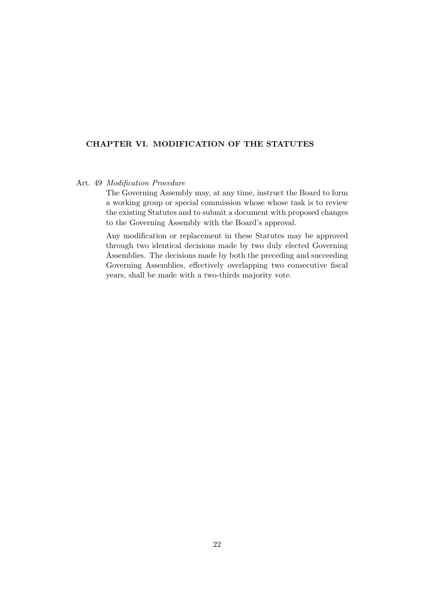# CHAPTER VI. MODIFICATION OF THE STATUTES

# Art. 49 Modification Procedure

The Governing Assembly may, at any time, instruct the Board to form a working group or special commission whose whose task is to review the existing Statutes and to submit a document with proposed changes to the Governing Assembly with the Board's approval.

Any modification or replacement in these Statutes may be approved through two identical decisions made by two duly elected Governing Assemblies. The decisions made by both the preceding and succeeding Governing Assemblies, effectively overlapping two consecutive fiscal years, shall be made with a two-thirds majority vote.